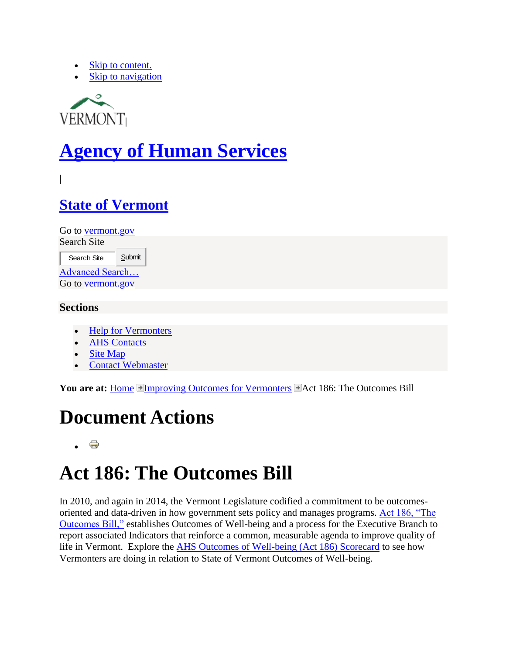- [Skip to content.](http://humanservices.vermont.gov/improving-outcomes-for-vermonters/act-186-the-outcomes-bill/#documentContent)
- [Skip to navigation](http://humanservices.vermont.gov/improving-outcomes-for-vermonters/act-186-the-outcomes-bill/#portlet-navigation-tree)



# **[Agency of Human Services](http://humanservices.vermont.gov/)**

|

### **[State of Vermont](http://www.vermont.gov/)**

Go to [vermont.gov](http://www.vermont.gov/) Search Site

| Search Site            | Submit |
|------------------------|--------|
| <b>Advanced Search</b> |        |
| Go to vermont.gov      |        |

### **Sections**

- [Help for Vermonters](http://humanservices.vermont.gov/services)
- [AHS Contacts](http://humanservices.vermont.gov/services/contacts)
- [Site Map](http://humanservices.vermont.gov/sitemap)
- [Contact Webmaster](http://humanservices.vermont.gov/improving-outcomes-for-vermonters/contact-info)

**You are at:** [Home](http://humanservices.vermont.gov/) [Improving Outcomes for Vermonters](http://humanservices.vermont.gov/improving-outcomes-for-vermonters) **Pact 186:** The Outcomes Bill

### **Document Actions**

## **Act 186: The Outcomes Bill**

In 2010, and again in 2014, the Vermont Legislature codified a commitment to be outcomesoriented and data-driven in how government sets policy and manages programs. [Act 186, "The](http://www.leg.state.vt.us/docs/2014/Acts/ACT186.pdf)  [Outcomes Bill,"](http://www.leg.state.vt.us/docs/2014/Acts/ACT186.pdf) establishes Outcomes of Well-being and a process for the Executive Branch to report associated Indicators that reinforce a common, measurable agenda to improve quality of life in Vermont. Explore the [AHS Outcomes of Well-being \(Act 186\) Scorecard](https://app.resultsscorecard.com/Scorecard/Embed/8131) to see how Vermonters are doing in relation to State of Vermont Outcomes of Well-being.

ë  $\bullet$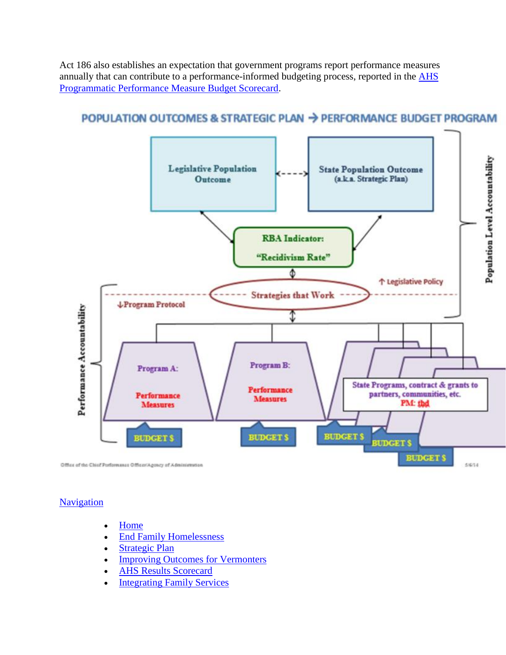Act 186 also establishes an expectation that government programs report performance measures annually that can contribute to a performance-informed budgeting process, reported in the **AHS** [Programmatic Performance Measure Budget Scorecard.](http://app.resultsscorecard.com/Scorecard/Embed/9736)

### POPULATION OUTCOMES & STRATEGIC PLAN → PERFORMANCE BUDGET PROGRAM



#### **[Navigation](http://humanservices.vermont.gov/sitemap)**

- Home
- [End Family Homelessness](http://humanservices.vermont.gov/end-family-homelessness)
- [Strategic Plan](http://humanservices.vermont.gov/strategic-plan)
- [Improving Outcomes for Vermonters](http://humanservices.vermont.gov/improving-outcomes-for-vermonters)
- [AHS Results Scorecard](http://humanservices.vermont.gov/copy_of_ahs-results-scorecard)
- [Integrating Family Services](http://humanservices.vermont.gov/integrating-family-services)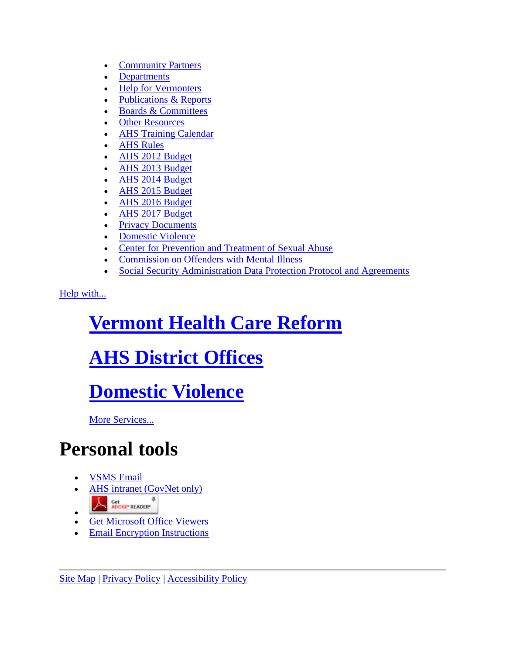- [Community Partners](http://humanservices.vermont.gov/community-partners)
- [Departments](http://humanservices.vermont.gov/departments)
- [Help for Vermonters](http://humanservices.vermont.gov/services)
- [Publications & Reports](http://humanservices.vermont.gov/publications)
- [Boards & Committees](http://humanservices.vermont.gov/boards-committees)
- [Other Resources](http://humanservices.vermont.gov/resources)
- [AHS Training Calendar](http://humanservices.vermont.gov/ahs-training-calendar)
- [AHS Rules](http://humanservices.vermont.gov/on-line-rules)
- [AHS 2012 Budget](http://humanservices.vermont.gov/ahs-2012-budget)
- [AHS 2013 Budget](http://humanservices.vermont.gov/2013-budget)
- [AHS 2014 Budget](http://humanservices.vermont.gov/ahs-2014-budget)
- [AHS 2015 Budget](http://humanservices.vermont.gov/ahs-2015-budget)
- [AHS 2016 Budget](http://humanservices.vermont.gov/ahs-2016-budget)
- [AHS 2017 Budget](http://humanservices.vermont.gov/ahs-2017-budget)
- Privacy Documents
- [Domestic Violence](http://humanservices.vermont.gov/domestic-violence)
- [Center for Prevention and Treatment of Sexual Abuse](http://humanservices.vermont.gov/center-for-prevention-and-treatment-of-sexual-abuse)
- Commission on Offenders with Mental Illness
- [Social Security Administration Data Protection Protocol and Agreements](http://humanservices.vermont.gov/social-security-administration-data-protection-protocol-and-agreements)

[Help with...](http://humanservices.vermont.gov/services/links-to-service)

# **[Vermont Health Care Reform](http://humanservices.vermont.gov/services/links-to-service/vermont-health-care-reform)**

## **[AHS District Offices](http://humanservices.vermont.gov/services/district-contacts/ahs-district-offices)**

## **[Domestic Violence](http://humanservices.vermont.gov/services/links-to-service/domestic-violence)**

[More Services...](http://humanservices.vermont.gov/services/links-to-service) 

### **Personal tools**

- [VSMS Email](https://webmail.state.vt.us/)
- [AHS intranet \(GovNet only\)](http://humanservices.vermont.gov/intra-link)
- A Get ADOBE READER
- $\bullet$ [Get Microsoft Office Viewers](http://office.microsoft.com/en-us/downloads/HA010449811033.aspx)
- [Email Encryption Instructions](http://humanservices.vermont.gov/emailencryption.pdf)